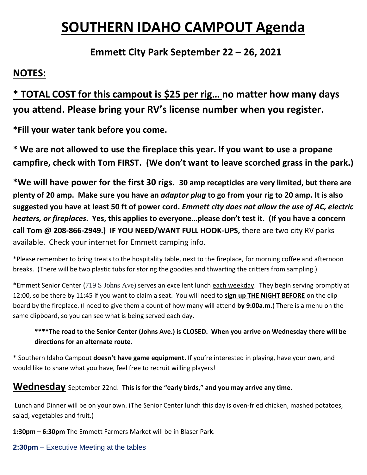# **SOUTHERN IDAHO CAMPOUT Agenda**

# **Emmett City Park September 22 – 26, 2021**

# **NOTES:**

# **\* TOTAL COST for this campout is \$25 per rig… no matter how many days you attend. Please bring your RV's license number when you register.**

**\*Fill your water tank before you come.** 

**\* We are not allowed to use the fireplace this year. If you want to use a propane campfire, check with Tom FIRST. (We don't want to leave scorched grass in the park.)**

**\*We will have power for the first 30 rigs. 30 amp recepticles are very limited, but there are plenty of 20 amp. Make sure you have an** *adaptor plug* **to go from your rig to 20 amp. It is also suggested you have at least 50 ft of power cord.** *Emmett city does not allow the use of AC, electric heaters, or fireplaces***. Yes, this applies to everyone…please don't test it. (If you have a concern call Tom @ 208-866-2949.) IF YOU NEED/WANT FULL HOOK-UPS,** there are two city RV parks available. Check your internet for Emmett camping info.

\*Please remember to bring treats to the hospitality table, next to the fireplace, for morning coffee and afternoon breaks. (There will be two plastic tubs for storing the goodies and thwarting the critters from sampling.)

\*Emmett Senior Center (719 S Johns Ave) serves an excellent lunch each weekday. They begin serving promptly at 12:00, so be there by 11:45 if you want to claim a seat. You will need to **sign up THE NIGHT BEFORE** on the clip board by the fireplace. (I need to give them a count of how many will attend **by 9:00a.m.**) There is a menu on the same clipboard, so you can see what is being served each day.

#### **\*\*\*\*The road to the Senior Center (Johns Ave.) is CLOSED. When you arrive on Wednesday there will be directions for an alternate route.**

\* Southern Idaho Campout **doesn't have game equipment.** If you're interested in playing, have your own, and would like to share what you have, feel free to recruit willing players!

## **Wednesday** September 22nd: **This is for the "early birds," and you may arrive any time**.

Lunch and Dinner will be on your own. (The Senior Center lunch this day is oven-fried chicken, mashed potatoes, salad, vegetables and fruit.)

**1:30pm – 6:30pm** The Emmett Farmers Market will be in Blaser Park.

#### **2:30pm** – Executive Meeting at the tables